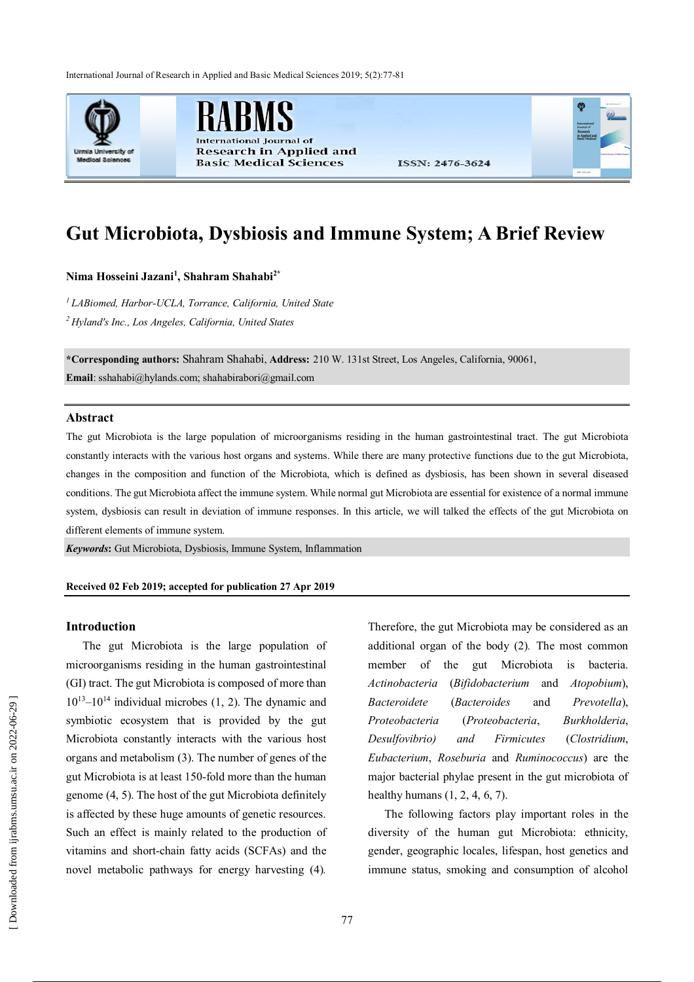International Journal of Research in Applied and Basic Medical Sciences 2019; 5(2):77-81



nal Journal of **Research in Applied and Basic Medical Sciences** 

ISSN: 2476-3624

# **Gut Microbiota, Dysbiosis and Immune System; A Brief Review**

**Nima Hosseini Jazani<sup>1</sup> , Shahram Shahabi2\***

*<sup>1</sup> LABiomed, Harbor-UCLA, Torrance, California, United State <sup>2</sup> Hyland's Inc., Los Angeles, California, United States*

**\*Corresponding authors:** Shahram Shahabi, **Address:** 210 W. 131st Street, Los Angeles, California, 90061, **Email**: sshahabi@hylands.com; shahabirabori@gmail.com

## **Abstract**

The gut Microbiota is the large population of microorganisms residing in the human gastrointestinal tract. The gut Microbiota constantly interacts with the various host organs and systems. While there are many protective functions due to the gut Microbiota, changes in the composition and function of the Microbiota, which is defined as dysbiosis, has been shown in several diseased conditions. The gut Microbiota affect the immune system. While normal gut Microbiota are essential for existence of a normal immune system, dysbiosis can result in deviation of immune responses. In this article, we will talked the effects of the gut Microbiota on different elements of immune system.

*Keywords***:** Gut Microbiota, Dysbiosis, Immune System, Inflammation

#### **Received 02 Feb 2019; accepted for publication 27 Apr 2019**

#### **Introduction**

The gut Microbiota is the large population of microorganisms residing in the human gastrointestinal (GI) tract. The gut Microbiota is composed of more than  $10^{13}$ – $10^{14}$  individual microbes (1, 2). The dynamic and symbiotic ecosystem that is provided by the gut Microbiota constantly interacts with the various host organs and metabolism (3). The number of genes of the gut Microbiota is at least 150-fold more than the human genome (4, 5). The host of the gut Microbiota definitely is affected by these huge amounts of genetic resources. Such an effect is mainly related to the production of vitamins and short-chain fatty acids (SCFAs) and the novel metabolic pathways for energy harvesting (4)*.* 

Therefore, the gut Microbiota may be considered as an additional organ of the body (2)*.* The most common member of the gut Microbiota is bacteria. *Actinobacteria* (*Bifidobacterium* and *Atopobium*), *Bacteroidete* (*Bacteroides* and *Prevotella*), *Proteobacteria* (*Proteobacteria*, *Burkholderia*, *Desulfovibrio) and Firmicutes* (*Clostridium*, *Eubacterium*, *Roseburia* and *Ruminococcus*) are the major bacterial phylae present in the gut microbiota of healthy humans (1, 2, 4, 6, 7).

The following factors play important roles in the diversity of the human gut Microbiota: ethnicity, gender, geographic locales, lifespan, host genetics and immune status, smoking and consumption of alcohol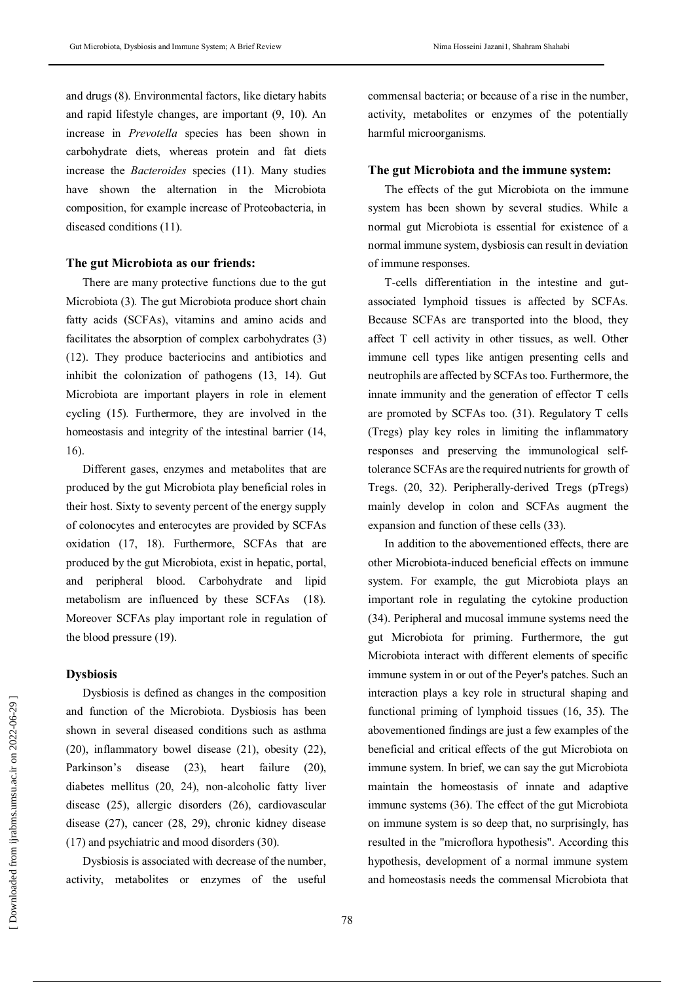and drugs (8). Environmental factors, like dietary habits and rapid lifestyle changes, are important (9, 10). An increase in *Prevotella* species has been shown in carbohydrate diets, whereas protein and fat diets increase the *Bacteroides* species (11). Many studies have shown the alternation in the Microbiota composition, for example increase of Proteobacteria, in diseased conditions (11).

## **The gut Microbiota as our friends:**

There are many protective functions due to the gut Microbiota (3)*.* The gut Microbiota produce short chain fatty acids (SCFAs), vitamins and amino acids and facilitates the absorption of complex carbohydrates (3) (12). They produce bacteriocins and antibiotics and inhibit the colonization of pathogens (13, 14). Gut Microbiota are important players in role in element cycling (15)*.* Furthermore, they are involved in the homeostasis and integrity of the intestinal barrier  $(14,$ 16).

Different gases, enzymes and metabolites that are produced by the gut Microbiota play beneficial roles in their host. Sixty to seventy percent of the energy supply of colonocytes and enterocytes are provided by SCFAs oxidation (17, 18). Furthermore, SCFAs that are produced by the gut Microbiota, exist in hepatic, portal, and peripheral blood. Carbohydrate and lipid metabolism are influenced by these SCFAs (18)*.* Moreover SCFAs play important role in regulation of the blood pressure (19).

## **Dysbiosis**

Dysbiosis is defined as changes in the composition and function of the Microbiota. Dysbiosis has been shown in several diseased conditions such as asthma (20), inflammatory bowel disease (21), obesity (22), Parkinson's disease (23), heart failure (20), diabetes mellitus (20, 24), non-alcoholic fatty liver disease (25), allergic disorders (26), cardiovascular disease (27), cancer (28, 29), chronic kidney disease (17) and psychiatric and mood disorders (30).

Dysbiosis is associated with decrease of the number, activity, metabolites or enzymes of the useful commensal bacteria; or because of a rise in the number, activity, metabolites or enzymes of the potentially harmful microorganisms.

#### **The gut Microbiota and the immune system:**

The effects of the gut Microbiota on the immune system has been shown by several studies. While a normal gut Microbiota is essential for existence of a normal immune system, dysbiosis can result in deviation of immune responses.

T-cells differentiation in the intestine and gutassociated lymphoid tissues is affected by SCFAs. Because SCFAs are transported into the blood, they affect T cell activity in other tissues, as well. Other immune cell types like antigen presenting cells and neutrophils are affected by SCFAs too. Furthermore, the innate immunity and the generation of effector T cells are promoted by SCFAs too. (31). Regulatory T cells (Tregs) play key roles in limiting the inflammatory responses and preserving the immunological selftolerance SCFAs are the required nutrients for growth of Tregs. (20, 32). Peripherally-derived Tregs (pTregs) mainly develop in colon and SCFAs augment the expansion and function of these cells (33).

In addition to the abovementioned effects, there are other Microbiota-induced beneficial effects on immune system. For example, the gut Microbiota plays an important role in regulating the cytokine production (34). Peripheral and mucosal immune systems need the gut Microbiota for priming. Furthermore, the gut Microbiota interact with different elements of specific immune system in or out of the Peyer's patches. Such an interaction plays a key role in structural shaping and functional priming of lymphoid tissues (16, 35). The abovementioned findings are just a few examples of the beneficial and critical effects of the gut Microbiota on immune system. In brief, we can say the gut Microbiota maintain the homeostasis of innate and adaptive immune systems (36). The effect of the gut Microbiota on immune system is so deep that, no surprisingly, has resulted in the "microflora hypothesis". According this hypothesis, development of a normal immune system and homeostasis needs the commensal Microbiota that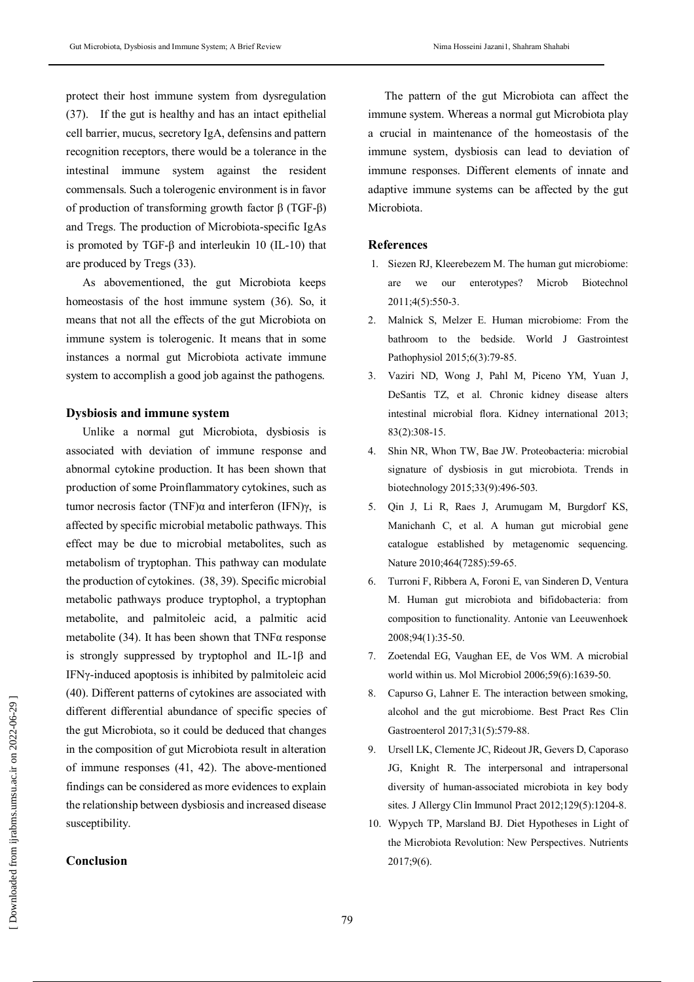protect their host immune system from dysregulation (37). If the gut is healthy and has an intact epithelial cell barrier, mucus, secretory IgA, defensins and pattern recognition receptors, there would be a tolerance in the intestinal immune system against the resident commensals. Such a tolerogenic environment is in favor of production of transforming growth factor β (TGF-β) and Tregs. The production of Microbiota-specific IgAs is promoted by TGF-β and interleukin 10 (IL-10) that are produced by Tregs (33).

As abovementioned, the gut Microbiota keeps homeostasis of the host immune system (36). So, it means that not all the effects of the gut Microbiota on immune system is tolerogenic. It means that in some instances a normal gut Microbiota activate immune system to accomplish a good job against the pathogens.

#### **Dysbiosis and immune system**

Unlike a normal gut Microbiota, dysbiosis is associated with deviation of immune response and abnormal cytokine production. It has been shown that production of some Proinflammatory cytokines, such as tumor necrosis factor (TNF) $α$  and interferon (IFN) $γ$ , is affected by specific microbial metabolic pathways. This effect may be due to microbial metabolites, such as metabolism of tryptophan. This pathway can modulate the production of cytokines. (38, 39). Specific microbial metabolic pathways produce tryptophol, a tryptophan metabolite, and palmitoleic acid, a palmitic acid metabolite (34). It has been shown that  $TNF\alpha$  response is strongly suppressed by tryptophol and IL-1β and IFNγ-induced apoptosis is inhibited by palmitoleic acid (40). Different patterns of cytokines are associated with different differential abundance of specific species of the gut Microbiota, so it could be deduced that changes in the composition of gut Microbiota result in alteration of immune responses (41, 42). The above-mentioned findings can be considered as more evidences to explain the relationship between dysbiosis and increased disease susceptibility.

# **Conclusion**

The pattern of the gut Microbiota can affect the immune system. Whereas a normal gut Microbiota play a crucial in maintenance of the homeostasis of the immune system, dysbiosis can lead to deviation of immune responses. Different elements of innate and adaptive immune systems can be affected by the gut Microbiota.

#### **References**

- 1. Siezen RJ, Kleerebezem M. The human gut microbiome: are we our enterotypes? Microb Biotechnol 2011;4(5):550-3.
- 2. Malnick S, Melzer E. Human microbiome: From the bathroom to the bedside. World J Gastrointest Pathophysiol 2015;6(3):79-85.
- 3. Vaziri ND, Wong J, Pahl M, Piceno YM, Yuan J, DeSantis TZ, et al. Chronic kidney disease alters intestinal microbial flora. Kidney international 2013; 83(2):308-15.
- 4. Shin NR, Whon TW, Bae JW. Proteobacteria: microbial signature of dysbiosis in gut microbiota. Trends in biotechnology 2015;33(9):496-503.
- 5. Qin J, Li R, Raes J, Arumugam M, Burgdorf KS, Manichanh C, et al. A human gut microbial gene catalogue established by metagenomic sequencing. Nature 2010;464(7285):59-65.
- 6. Turroni F, Ribbera A, Foroni E, van Sinderen D, Ventura M. Human gut microbiota and bifidobacteria: from composition to functionality. Antonie van Leeuwenhoek 2008;94(1):35-50.
- 7. Zoetendal EG, Vaughan EE, de Vos WM. A microbial world within us. Mol Microbiol 2006;59(6):1639-50.
- 8. Capurso G, Lahner E. The interaction between smoking, alcohol and the gut microbiome. Best Pract Res Clin Gastroenterol 2017;31(5):579-88.
- 9. Ursell LK, Clemente JC, Rideout JR, Gevers D, Caporaso JG, Knight R. The interpersonal and intrapersonal diversity of human-associated microbiota in key body sites. J Allergy Clin Immunol Pract 2012;129(5):1204-8.
- 10. Wypych TP, Marsland BJ. Diet Hypotheses in Light of the Microbiota Revolution: New Perspectives. Nutrients 2017;9(6).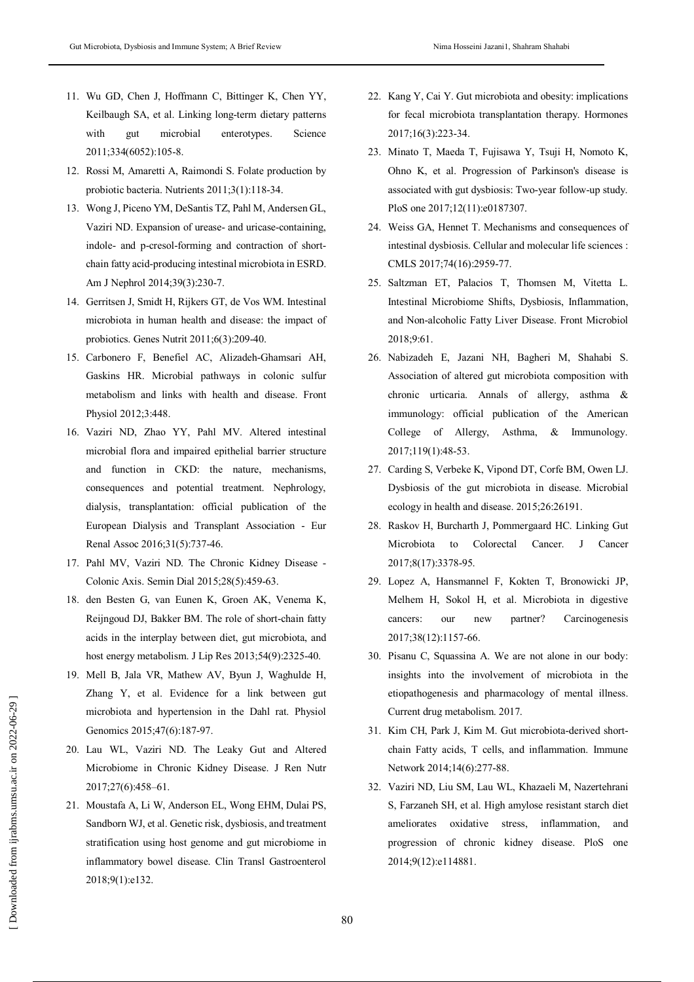- 11. Wu GD, Chen J, Hoffmann C, Bittinger K, Chen YY, Keilbaugh SA, et al. Linking long-term dietary patterns with gut microbial enterotypes. Science 2011;334(6052):105-8.
- 12. Rossi M, Amaretti A, Raimondi S. Folate production by probiotic bacteria. Nutrients 2011;3(1):118-34.
- 13. Wong J, Piceno YM, DeSantis TZ, Pahl M, Andersen GL, Vaziri ND. Expansion of urease- and uricase-containing, indole- and p-cresol-forming and contraction of shortchain fatty acid-producing intestinal microbiota in ESRD. Am J Nephrol 2014;39(3):230-7.
- 14. Gerritsen J, Smidt H, Rijkers GT, de Vos WM. Intestinal microbiota in human health and disease: the impact of probiotics. Genes Nutrit 2011;6(3):209-40.
- 15. Carbonero F, Benefiel AC, Alizadeh-Ghamsari AH, Gaskins HR. Microbial pathways in colonic sulfur metabolism and links with health and disease. Front Physiol 2012;3:448.
- 16. Vaziri ND, Zhao YY, Pahl MV. Altered intestinal microbial flora and impaired epithelial barrier structure and function in CKD: the nature, mechanisms, consequences and potential treatment. Nephrology, dialysis, transplantation: official publication of the European Dialysis and Transplant Association - Eur Renal Assoc 2016;31(5):737-46.
- 17. Pahl MV, Vaziri ND. The Chronic Kidney Disease Colonic Axis. Semin Dial 2015;28(5):459-63.
- 18. den Besten G, van Eunen K, Groen AK, Venema K, Reijngoud DJ, Bakker BM. The role of short-chain fatty acids in the interplay between diet, gut microbiota, and host energy metabolism. J Lip Res 2013;54(9):2325-40.
- 19. Mell B, Jala VR, Mathew AV, Byun J, Waghulde H, Zhang Y, et al. Evidence for a link between gut microbiota and hypertension in the Dahl rat. Physiol Genomics 2015;47(6):187-97.
- 20. Lau WL, Vaziri ND. The Leaky Gut and Altered Microbiome in Chronic Kidney Disease. J Ren Nutr 2017;27(6):458–61.
- 21. Moustafa A, Li W, Anderson EL, Wong EHM, Dulai PS, Sandborn WJ, et al. Genetic risk, dysbiosis, and treatment stratification using host genome and gut microbiome in inflammatory bowel disease. Clin Transl Gastroenterol 2018;9(1):e132.
- 22. Kang Y, Cai Y. Gut microbiota and obesity: implications for fecal microbiota transplantation therapy. Hormones 2017;16(3):223-34.
- 23. Minato T, Maeda T, Fujisawa Y, Tsuji H, Nomoto K, Ohno K, et al. Progression of Parkinson's disease is associated with gut dysbiosis: Two-year follow-up study. PloS one 2017;12(11):e0187307.
- 24. Weiss GA, Hennet T. Mechanisms and consequences of intestinal dysbiosis. Cellular and molecular life sciences : CMLS 2017;74(16):2959-77.
- 25. Saltzman ET, Palacios T, Thomsen M, Vitetta L. Intestinal Microbiome Shifts, Dysbiosis, Inflammation, and Non-alcoholic Fatty Liver Disease. Front Microbiol 2018;9:61.
- 26. Nabizadeh E, Jazani NH, Bagheri M, Shahabi S. Association of altered gut microbiota composition with chronic urticaria. Annals of allergy, asthma & immunology: official publication of the American College of Allergy, Asthma, & Immunology. 2017;119(1):48-53.
- 27. Carding S, Verbeke K, Vipond DT, Corfe BM, Owen LJ. Dysbiosis of the gut microbiota in disease. Microbial ecology in health and disease. 2015;26:26191.
- 28. Raskov H, Burcharth J, Pommergaard HC. Linking Gut Microbiota to Colorectal Cancer. J Cancer 2017;8(17):3378-95.
- 29. Lopez A, Hansmannel F, Kokten T, Bronowicki JP, Melhem H, Sokol H, et al. Microbiota in digestive cancers: our new partner? Carcinogenesis 2017;38(12):1157-66.
- 30. Pisanu C, Squassina A. We are not alone in our body: insights into the involvement of microbiota in the etiopathogenesis and pharmacology of mental illness. Current drug metabolism. 2017.
- 31. Kim CH, Park J, Kim M. Gut microbiota-derived shortchain Fatty acids, T cells, and inflammation. Immune Network 2014;14(6):277-88.
- 32. Vaziri ND, Liu SM, Lau WL, Khazaeli M, Nazertehrani S, Farzaneh SH, et al. High amylose resistant starch diet ameliorates oxidative stress, inflammation, and progression of chronic kidney disease. PloS one 2014;9(12):e114881.